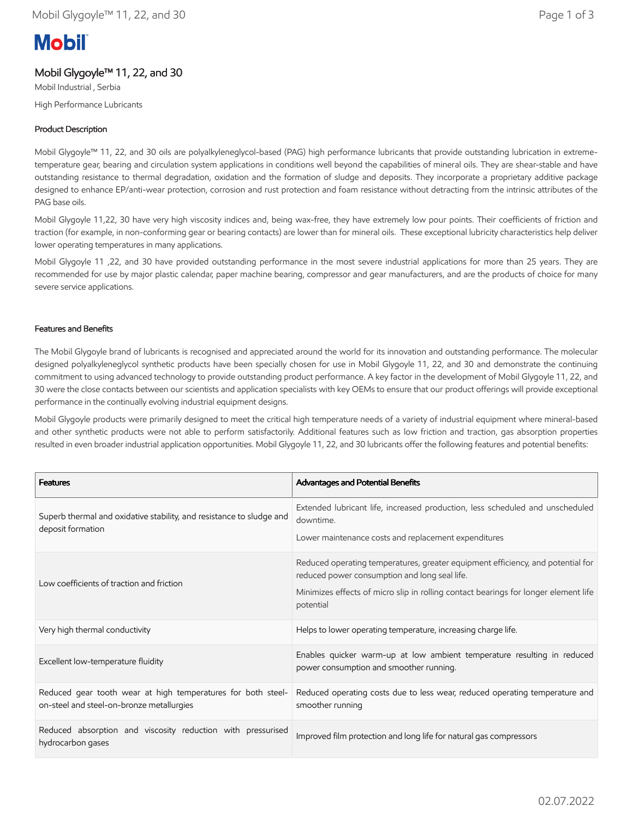# **Mobil**

## Mobil Glygoyle™ 11, 22, and 30

Mobil Industrial , Serbia High Performance Lubricants

## Product Description

Mobil Glygoyle™ 11, 22, and 30 oils are polyalkyleneglycol-based (PAG) high performance lubricants that provide outstanding lubrication in extremetemperature gear, bearing and circulation system applications in conditions well beyond the capabilities of mineral oils. They are shear-stable and have outstanding resistance to thermal degradation, oxidation and the formation of sludge and deposits. They incorporate a proprietary additive package designed to enhance EP/anti-wear protection, corrosion and rust protection and foam resistance without detracting from the intrinsic attributes of the PAG base oils.

Mobil Glygoyle 11,22, 30 have very high viscosity indices and, being wax-free, they have extremely low pour points. Their coefficients of friction and traction (for example, in non-conforming gear or bearing contacts) are lower than for mineral oils. These exceptional lubricity characteristics help deliver lower operating temperatures in many applications.

Mobil Glygoyle 11 ,22, and 30 have provided outstanding performance in the most severe industrial applications for more than 25 years. They are recommended for use by major plastic calendar, paper machine bearing, compressor and gear manufacturers, and are the products of choice for many severe service applications.

## Features and Benefits

The Mobil Glygoyle brand of lubricants is recognised and appreciated around the world for its innovation and outstanding performance. The molecular designed polyalkyleneglycol synthetic products have been specially chosen for use in Mobil Glygoyle 11, 22, and 30 and demonstrate the continuing commitment to using advanced technology to provide outstanding product performance. A key factor in the development of Mobil Glygoyle 11, 22, and 30 were the close contacts between our scientists and application specialists with key OEMs to ensure that our product offerings will provide exceptional performance in the continually evolving industrial equipment designs.

Mobil Glygoyle products were primarily designed to meet the critical high temperature needs of a variety of industrial equipment where mineral-based and other synthetic products were not able to perform satisfactorily. Additional features such as low friction and traction, gas absorption properties resulted in even broader industrial application opportunities. Mobil Glygoyle 11, 22, and 30 lubricants offer the following features and potential benefits:

| <b>Features</b>                                                                                           | Advantages and Potential Benefits                                                                                                                                                                                                    |
|-----------------------------------------------------------------------------------------------------------|--------------------------------------------------------------------------------------------------------------------------------------------------------------------------------------------------------------------------------------|
| Superb thermal and oxidative stability, and resistance to sludge and<br>deposit formation                 | Extended lubricant life, increased production, less scheduled and unscheduled<br>downtime.<br>Lower maintenance costs and replacement expenditures                                                                                   |
| Low coefficients of traction and friction                                                                 | Reduced operating temperatures, greater equipment efficiency, and potential for<br>reduced power consumption and long seal life.<br>Minimizes effects of micro slip in rolling contact bearings for longer element life<br>potential |
| Very high thermal conductivity                                                                            | Helps to lower operating temperature, increasing charge life.                                                                                                                                                                        |
| Excellent low-temperature fluidity                                                                        | Enables quicker warm-up at low ambient temperature resulting in reduced<br>power consumption and smoother running.                                                                                                                   |
| Reduced gear tooth wear at high temperatures for both steel-<br>on-steel and steel-on-bronze metallurgies | Reduced operating costs due to less wear, reduced operating temperature and<br>smoother running                                                                                                                                      |
| Reduced absorption and viscosity reduction with pressurised<br>hydrocarbon gases                          | Improved film protection and long life for natural gas compressors                                                                                                                                                                   |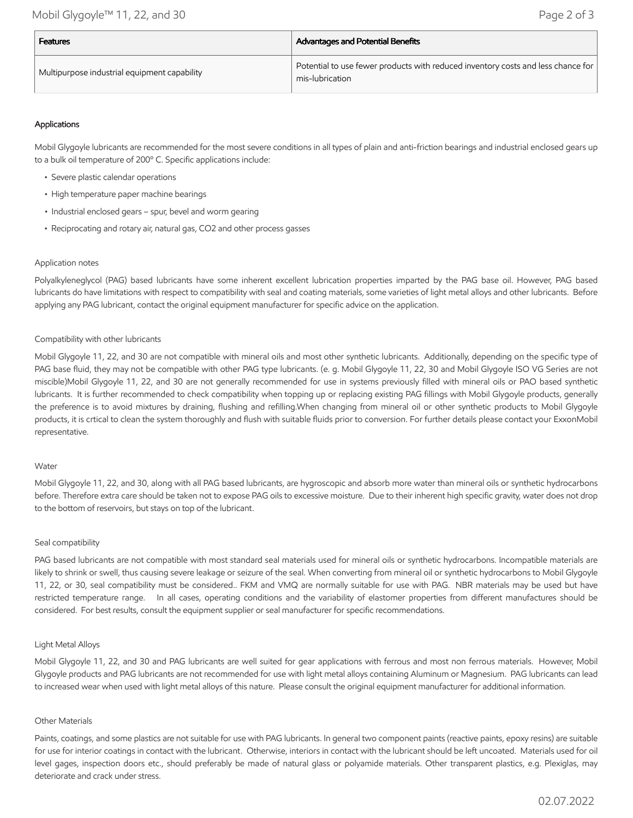| <b>Features</b>                              | <b>Advantages and Potential Benefits</b>                                                            |  |
|----------------------------------------------|-----------------------------------------------------------------------------------------------------|--|
| Multipurpose industrial equipment capability | Potential to use fewer products with reduced inventory costs and less chance for<br>mis-lubrication |  |

## Applications

Mobil Glygoyle lubricants are recommended for the most severe conditions in all types of plain and anti-friction bearings and industrial enclosed gears up to a bulk oil temperature of 200º C. Specific applications include:

- Severe plastic calendar operations
- High temperature paper machine bearings
- Industrial enclosed gears spur, bevel and worm gearing
- Reciprocating and rotary air, natural gas, CO2 and other process gasses

#### Application notes

Polyalkyleneglycol (PAG) based lubricants have some inherent excellent lubrication properties imparted by the PAG base oil. However, PAG based lubricants do have limitations with respect to compatibility with seal and coating materials, some varieties of light metal alloys and other lubricants. Before applying any PAG lubricant, contact the original equipment manufacturer for specific advice on the application.

#### Compatibility with other lubricants

Mobil Glygoyle 11, 22, and 30 are not compatible with mineral oils and most other synthetic lubricants. Additionally, depending on the specific type of PAG base fluid, they may not be compatible with other PAG type lubricants. (e. g. Mobil Glygoyle 11, 22, 30 and Mobil Glygoyle ISO VG Series are not miscible)Mobil Glygoyle 11, 22, and 30 are not generally recommended for use in systems previously filled with mineral oils or PAO based synthetic lubricants. It is further recommended to check compatibility when topping up or replacing existing PAG fillings with Mobil Glygoyle products, generally the preference is to avoid mixtures by draining, flushing and refilling.When changing from mineral oil or other synthetic products to Mobil Glygoyle products, it is crtical to clean the system thoroughly and flush with suitable fluids prior to conversion. For further details please contact your ExxonMobil representative.

#### Water

Mobil Glygoyle 11, 22, and 30, along with all PAG based lubricants, are hygroscopic and absorb more water than mineral oils or synthetic hydrocarbons before. Therefore extra care should be taken not to expose PAG oils to excessive moisture. Due to their inherent high specific gravity, water does not drop to the bottom of reservoirs, but stays on top of the lubricant.

#### Seal compatibility

PAG based lubricants are not compatible with most standard seal materials used for mineral oils or synthetic hydrocarbons. Incompatible materials are likely to shrink or swell, thus causing severe leakage or seizure of the seal. When converting from mineral oil or synthetic hydrocarbons to Mobil Glygoyle 11, 22, or 30, seal compatibility must be considered.. FKM and VMQ are normally suitable for use with PAG. NBR materials may be used but have restricted temperature range. In all cases, operating conditions and the variability of elastomer properties from different manufactures should be considered. For best results, consult the equipment supplier or seal manufacturer for specific recommendations.

#### Light Metal Alloys

Mobil Glygoyle 11, 22, and 30 and PAG lubricants are well suited for gear applications with ferrous and most non ferrous materials. However, Mobil Glygoyle products and PAG lubricants are not recommended for use with light metal alloys containing Aluminum or Magnesium. PAG lubricants can lead to increased wear when used with light metal alloys of this nature. Please consult the original equipment manufacturer for additional information.

#### Other Materials

Paints, coatings, and some plastics are not suitable for use with PAG lubricants. In general two component paints (reactive paints, epoxy resins) are suitable for use for interior coatings in contact with the lubricant. Otherwise, interiors in contact with the lubricant should be left uncoated. Materials used for oil level gages, inspection doors etc., should preferably be made of natural glass or polyamide materials. Other transparent plastics, e.g. Plexiglas, may deteriorate and crack under stress.